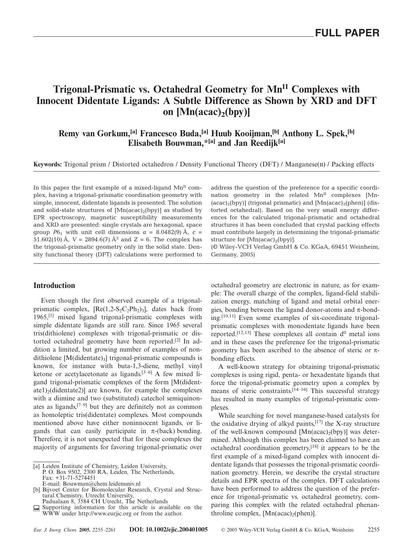# **Trigonal-Prismatic vs. Octahedral Geometry for MnII Complexes with Innocent Didentate Ligands: A Subtle Difference as Shown by XRD and DFT** on  $[Mn(acac)_{2}(bpy)]$

## **Remy van Gorkum,[a] Francesco Buda,[a] Huub Kooijman,[b] Anthony L. Spek,[b] Elisabeth Bouwman,\*[a] and Jan Reedijk[a]**

**Keywords:** Trigonal prism / Distorted octahedron / Density Functional Theory (DFT) / Manganese(II) / Packing effects

In this paper the first example of a mixed-ligand  $Mn<sup>H</sup>$  complex, having a trigonal-prismatic coordination geometry with simple, innocent, didentate ligands is presented. The solution and solid-state structures of  $[Mn(acac)_2(bpy)]$  as studied by EPR spectroscopy, magnetic susceptibility measurements and XRD are presented: single crystals are hexagonal, space group  $P6_1$  with unit cell dimensions  $a = 8.0482(9)$  Å,  $c =$ 51.602(10) Å,  $V = 2894.6(7)$  Å<sup>3</sup> and  $Z = 6$ . The complex has the trigonal-prismatic geometry only in the solid state. Density functional theory (DFT) calculations were performed to

### **Introduction**

Even though the first observed example of a trigonalprismatic complex,  $[Re(1,2-S_2C_2Ph_2)]$ , dates back from 1965,[1] mixed ligand trigonal-prismatic complexes with simple didentate ligands are still rare. Since 1965 several tris(dithiolene) complexes with trigonal-prismatic or distorted octahedral geometry have been reported.[2] In addition a limited, but growing number of examples of nondithiolene  $[M(\text{didentate})_3]$  trigonal-prismatic compounds is known, for instance with buta-1,3-diene, methyl vinyl ketone or acetylacetonate as ligands.[3–6] A few mixed ligand trigonal-prismatic complexes of the form [M(didentate1)<sub>2</sub>(didentate2)] are known, for example the complexes with a diimine and two (substituted) catechol semiquinonates as ligands,[7–9] but they are definitely not as common as homoleptic tris(didentate) complexes. Most compounds mentioned above have either noninnocent ligands, or ligands that can easily participate in  $\pi$ -(back) bonding. Therefore, it is not unexpected that for these complexes the majority of arguments for favoring trigonal-prismatic over address the question of the preference for a specific coordination geometry in the related  $Mn<sup>H</sup>$  complexes [Mn- $(acac)<sub>2</sub>(bpy)$ ] (trigonal prismatic) and  $[Mn(acac)<sub>2</sub>(phen)]$  (distorted octahedral). Based on the very small energy differences for the calculated trigonal-prismatic and octahedral structures it has been concluded that crystal packing effects must contribute largely in determining the trigonal-prismatic structure for  $[Mn(acac)_2(bpy)]$ .

(© Wiley-VCH Verlag GmbH & Co. KGaA, 69451 Weinheim, Germany, 2005)

octahedral geometry are electronic in nature, as for example: The overall charge of the complex, ligand-field stabilization energy, matching of ligand and metal orbital energies, bonding between the ligand donor-atoms and  $\pi$ -bonding.[10,11] Even some examples of six-coordinate trigonalprismatic complexes with monodentate ligands have been reported.<sup>[12,13]</sup> These complexes all contain  $d^0$  metal ions and in these cases the preference for the trigonal-prismatic geometry has been ascribed to the absence of steric or  $π$ bonding effects.

A well-known strategy for obtaining trigonal-prismatic complexes is using rigid, penta- or hexadentate ligands that force the trigonal-prismatic geometry upon a complex by means of steric constraints.<sup>[14–16]</sup> This successful strategy has resulted in many examples of trigonal-prismatic complexes.

While searching for novel manganese-based catalysts for the oxidative drying of alkyd paints,  $[17]$  the X-ray structure of the well-known compound  $[Mn(acac)_{2}(bpy)]$  was determined. Although this complex has been claimed to have an octahedral coordination geometry,[18] it appears to be the first example of a mixed-ligand complex with innocent didentate ligands that possesses the trigonal-prismatic coordination geometry. Herein, we describe the crystal structure details and EPR spectra of the complex. DFT calculations have been performed to address the question of the preference for trigonal-prismatic vs. octahedral geometry, comparing this complex with the related octahedral phenanthroline complex,  $[Mn(acac)<sub>2</sub>(phen)].$ 

<sup>[</sup>a] Leiden Institute of Chemistry, Leiden University,

P. O. Box 9502, 2300 RA, Leiden*,* The Netherlands, Fax: +31-71-5274451 E-mail: Bouwman@chem.leidenuniv.nl

<sup>[</sup>b] Bijvoet Center for Biomolecular Research, Crystal and Structural Chemistry, Utrecht University,

Padualaan 8, 3584 CH Utrecht, The Netherlands

Supporting information for this article is available on the WWW under http://www.eurjic.org or from the author.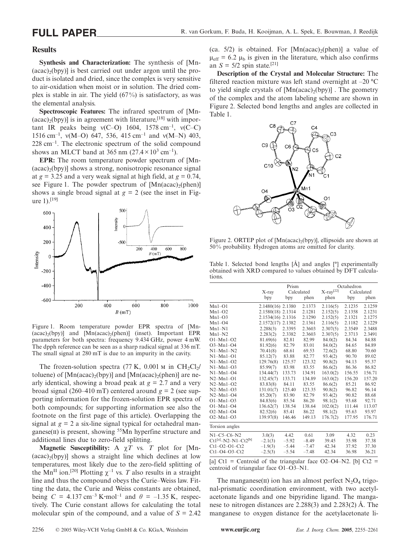#### **Results**

**Synthesis and Characterization:** The synthesis of [Mn-  $(acac)_{2}(bpy)$ ] is best carried out under argon until the product is isolated and dried, since the complex is very sensitive to air-oxidation when moist or in solution. The dried complex is stable in air. The yield (67%) is satisfactory, as was the elemental analysis.

**Spectroscopic Features:** The infrared spectrum of [Mn-  $(acac)_{2}(bpy)$ ] is in agreement with literature,<sup>[18]</sup> with important IR peaks being  $v(C=0)$  1604, 1578 cm<sup>-1</sup>,  $v(C=C)$ 1516 cm<sup>-1</sup>,  $v(M–O)$  647, 536, 415 cm<sup>-1</sup> and  $v(M–N)$  403,  $228 \text{ cm}^{-1}$ . The electronic spectrum of the solid compound shows an MLCT band at 365 nm  $(27.4 \times 10^3 \text{ cm}^{-1})$ .

**EPR:** The room temperature powder spectrum of [Mn-  $(\text{acac})_2(\text{bpy})$ ] shows a strong, nonisotropic resonance signal at  $g = 3.25$  and a very weak signal at high field, at  $g = 0.74$ , see Figure 1. The powder spectrum of  $[Mn(acac)<sub>2</sub>(phen)]$ shows a single broad signal at  $g = 2$  (see the inset in Figure  $1$ ).<sup>[19]</sup>



Figure 1. Room temperature powder EPR spectra of [Mn-  $(acac)_{2}(bpy)$ ] and  $[Mn(acac)_{2}(phen)]$  (inset). Important EPR parameters for both spectra: frequency 9.434 GHz, power 4 mW. The dpph reference can be seen as a sharp radical signal at 336 mT. The small signal at 280 mT is due to an impurity in the cavity.

The frozen-solution spectra  $(77 \text{ K}, 0.001 \text{ m} \text{ in } CH_2Cl_2$ / toluene) of  $[Mn(acac)<sub>2</sub>(bpy)]$  and  $[Mn(acac)<sub>2</sub>(phen)]$  are nearly identical, showing a broad peak at  $g = 2.7$  and a very broad signal (260–410 mT) centered around  $g = 2$  (see supporting information for the frozen-solution EPR spectra of both compounds; for supporting information see also the footnote on the first page of this article). Overlapping the signal at  $g = 2$  a six-line signal typical for octahedral manganese( $\overline{u}$ ) is present, showing <sup>55</sup>Mn hyperfine structure and additional lines due to zero-field splitting.

**Magnetic Susceptibility:** A  $\chi T$  vs. *T* plot for [Mn- $(acac)_{2}(bpy)$ ] shows a straight line which declines at low temperatures, most likely due to the zero-field splitting of the Mn<sup>II</sup> ion.<sup>[20]</sup> Plotting  $\chi^{-1}$  vs. *T* also results in a straight line and thus the compound obeys the Curie–Weiss law. Fitting the data, the Curie and Weiss constants are obtained, being  $C = 4.137 \text{ cm}^{-3} \text{ K} \cdot \text{mol}^{-1}$  and  $\theta = -1.35 \text{ K}$ , respectively. The Curie constant allows for calculating the total molecular spin of the compound, and a value of  $S = 2.42$ 

(ca.  $5/2$ ) is obtained. For [Mn(acac)<sub>2</sub>(phen)] a value of  $\mu_{\text{eff}}$  = 6.2  $\mu_{\text{b}}$  is given in the literature, which also confirms an  $S = 5/2$  spin state.<sup>[21]</sup>

**Description of the Crystal and Molecular Structure:** The filtered reaction mixture was left stand overnight at –20 °C to yield single crystals of  $[Mn(acac)_{2}(bpy)]$ . The geometry of the complex and the atom labeling scheme are shown in Figure 2. Selected bond lengths and angles are collected in Table 1.



Figure 2. ORTEP plot of  $[Min(acac)_{2}(bpy)]$ , ellipsoids are shown at 50% probability. Hydrogen atoms are omitted for clarity.

Table 1. Selected bond lengths [Å] and angles [°] experimentally obtained with XRD compared to values obtained by DFT calculations.

|                       | Prism             |            | Octahedron |                       |            |        |
|-----------------------|-------------------|------------|------------|-----------------------|------------|--------|
|                       | X-ray             | Calculated |            | X-ray <sup>[22]</sup> | Calculated |        |
|                       | bpy               | bpy        | phen       | phen                  | bpy        | phen   |
| $Mn1-O1$              | 2.1480(16) 2.1380 |            | 2.1373     | 2.116(5)              | 2.1235     | 2.1259 |
| $Mn1-O2$              | 2.1580(18) 2.1314 |            | 2.1281     | 2.152(5)              | 2.1358     | 2.1231 |
| $Mn1-O3$              | 2.1534(16) 2.1316 |            | 2.1290     | 2.152(5)              | 2.1321     | 2.1275 |
| $Mn1-O4$              | 2.1572(17) 2.1382 |            | 2.1361     | 2.116(5)              | 2.1182     | 2.1229 |
| $Mn1-N1$              | 2.288(3)          | 2.3395     | 2.3603     | 2.307(5)              | 2.3549     | 2.3488 |
| $Mn1-N2$              | 2.283(2)          | 2.3382     | 2.3603     | 2.307(5)              | 2.3713     | 2.3491 |
| $O1-Mn1-O2$           | 81.69(6)          | 82.81      | 82.99      | 84.0(2)               | 84.34      | 84.88  |
| $O3-Mn1-O4$           | 81.92(6)          | 82.79      | 83.01      | 84.0(2)               | 84.65      | 84.89  |
| $N1-Mn1-N2$           | 70.41(8)          | 68.61      | 69.53      | 72.6(2)               | 68.80      | 70.60  |
| $N1-Mn1-O1$           | 85.12(7)          | 83.88      | 82.77      | 93.4(2)               | 90.70      | 89.02  |
| $N1-Mn1-O2$           | 129.76(8)         | 125.57     | 123.32     | 90.8(2)               | 94.13      | 95.37  |
| $N1-Mn1-O3$           | 85.99(7)          | 83.98      | 83.55      | 86.6(2)               | 86.36      | 86.82  |
| $N1-Mn1-O4$           | 134.44(7)         | 133.73     | 134.91     | 163.0(2)              | 156.55     | 156.71 |
| $N2-Mn1-O1$           | 132.45(7)         | 133.71     | 134.89     | 163.0(2)              | 156.20     | 157.20 |
| $N2-Mn1-O2$           | 83.83(8)          | 84.11      | 83.55      | 86.6(2)               | 85.21      | 86.92  |
| $N2-Mn1-O3$           | 131.01(7)         | 125.40     | 123.35     | 90.8(2)               | 96.82      | 96.14  |
| $N2-Mn1-O4$           | 85.20(7)          | 83.90      | 82.79      | 93.4(2)               | 90.82      | 88.68  |
| $O1-Mn1-O3$           | 84.83(6)          | 85.54      | 86.20      | 98.1(2)               | 93.68      | 92.71  |
| $O1-Mn1-O4$           | 136.62(7)         | 138.54     | 138.64     | 102.0(2)              | 111.44     | 113.07 |
| $O2-Mn1-O4$           | 82.52(6)          | 85.41      | 86.22      | 98.1(2)               | 95.63      | 93.97  |
| $O2-Mn1-O3$           | 139.97(8)         | 146.46     | 149.13     | 176.7(2)              | 177.95     | 176.71 |
| Torsion angles        |                   |            |            |                       |            |        |
| $N1-C5-C6-N2$         | 3.0(3)            | 4.42       | 0.61       | 3.09                  | 4.32       | 0.23   |
| $Ct1[a]-N2-N1-Ct2[b]$ | $-2.1(3)$         | $-5.92$    | $-8.49$    | 39.45                 | 35.98      | 37.38  |
| $Ct1 - O2 - O1 - Ct2$ | $-1.9(3)$         | $-5.44$    | $-7.47$    | 42.34                 | 37.92      | 37.30  |
| $Ct1 - O4 - O3 - Ct2$ | $-2.5(3)$         | $-5.54$    | $-7.48$    | 42.34                 | 36.98      | 36.21  |

[a] Ct1 = Centroid of the triangular face  $O2-O4-N2$ . [b] Ct2 = centroid of triangular face O1–O3–N1.

The manganese(II) ion has an almost perfect  $N_2O_4$  trigonal-prismatic coordination environment, with two acetylacetonate ligands and one bipyridine ligand. The manganese to nitrogen distances are 2.288(3) and 2.283(2) Å. The manganese to oxygen distance for the acetylacetonate li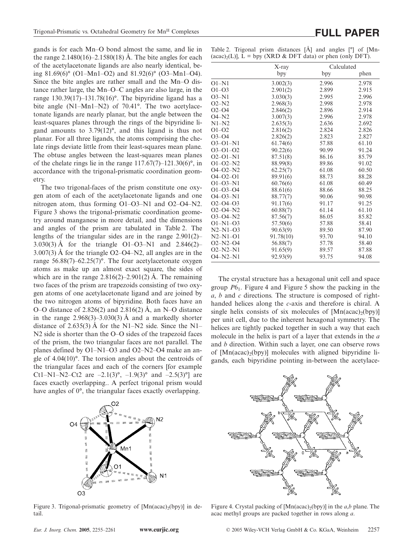gands is for each Mn–O bond almost the same, and lie in the range  $2.1480(16) - 2.1580(18)$  Å. The bite angles for each of the acetylacetonate ligands are also nearly identical, being 81.69(6)° (O1–Mn1–O2) and 81.92(6)° (O3–Mn1–O4). Since the bite angles are rather small and the Mn–O distance rather large, the Mn–O–C angles are also large, in the range  $130.39(17)$ –131.78(16)°. The bipyridine ligand has a bite angle (N1–Mn1–N2) of 70.41°. The two acetylacetonate ligands are nearly planar, but the angle between the least-squares planes through the rings of the bipyridine ligand amounts to 3.79(12)°, and this ligand is thus not planar. For all three ligands, the atoms comprising the chelate rings deviate little from their least-squares mean plane. The obtuse angles between the least-squares mean planes of the chelate rings lie in the range  $117.67(7)$ – $121.30(6)$ °, in accordance with the trigonal-prismatic coordination geometry.

The two trigonal-faces of the prism constitute one oxygen atom of each of the acetylacetonate ligands and one nitrogen atom, thus forming O1–O3–N1 and O2–O4–N2. Figure 3 shows the trigonal-prismatic coordination geometry around manganese in more detail, and the dimensions and angles of the prism are tabulated in Table 2. The lengths of the triangular sides are in the range 2.901(2)– 3.030(3) Å for the triangle O1–O3–N1 and 2.846(2)– 3.007(3) Å for the triangle O2–O4–N2, all angles are in the range 56.88(7)–62.25(7)°. The four acetylacetonate oxygen atoms as make up an almost exact square, the sides of which are in the range  $2.816(2)$ –2.901(2) Å. The remaining two faces of the prism are trapezoids consisting of two oxygen atoms of one acetylacetonate ligand and are joined by the two nitrogen atoms of bipyridine. Both faces have an O–O distance of 2.826(2) and 2.816(2) Å, an N–O distance in the range  $2.968(3) - 3.030(3)$  Å and a markedly shorter distance of 2.635(3) Å for the N1–N2 side. Since the N1– N<sub>2</sub> side is shorter than the O–O sides of the trapezoid faces of the prism, the two triangular faces are not parallel. The planes defined by O1–N1–O3 and O2–N2–O4 make an angle of 4.04(10)°. The torsion angles about the centroids of the triangular faces and each of the corners [for example Ct1–N1–N2–Ct2 are –2.1(3)°, –1.9(3)° and –2.5(3)°] are faces exactly overlapping.. A perfect trigonal prism would have angles of 0°, the triangular faces exactly overlapping.



Figure 3. Trigonal-prismatic geometry of  $[Mn(acac)(bpy)]$  in detail.

|                | X-ray     | Calculated |       |  |
|----------------|-----------|------------|-------|--|
|                | bpy       | bpy        | phen  |  |
| $O1-N1$        | 3.002(3)  | 2.996      | 2.978 |  |
| $O1 - O3$      | 2.901(2)  | 2.899      | 2.915 |  |
| $O3-N1$        | 3.030(3)  | 2.995      | 2.996 |  |
| $O2-N2$        | 2.968(3)  | 2.998      | 2.978 |  |
| $O2 - O4$      | 2.846(2)  | 2.896      | 2.914 |  |
| $O4-N2$        | 3.007(3)  | 2.996      | 2.978 |  |
| $N1-N2$        | 2.635(3)  | 2.636      | 2.692 |  |
| $O1 - O2$      | 2.816(2)  | 2.824      | 2.826 |  |
| $O3 - O4$      | 2.826(2)  | 2.823      | 2.827 |  |
| $O3 - O1 - N1$ | 61.74(6)  | 57.88      | 61.10 |  |
| $O3 - O1 - O2$ | 90.22(6)  | 90.99      | 91.24 |  |
| $O2 - O1 - N1$ | 87.51(8)  | 86.16      | 85.79 |  |
| $O1 - O2 - N2$ | 88.99(8)  | 89.86      | 91.02 |  |
| $O4 - O2 - N2$ | 62.25(7)  | 61.08      | 60.50 |  |
| $O4 - O2 - O1$ | 89.91(6)  | 88.73      | 88.28 |  |
| $O1 - O3 - N1$ | 60.76(6)  | 61.08      | 60.49 |  |
| $O1 - O3 - O4$ | 88.61(6)  | 88.66      | 88.25 |  |
| $O4 - O3 - N1$ | 88.77(7)  | 90.06      | 90.98 |  |
| $O2 - O4 - O3$ | 91.17(6)  | 91.17      | 91.25 |  |
| $O2 - O4 - N2$ | 60.88(7)  | 61.14      | 61.10 |  |
| $O3 - O4 - N2$ | 87.56(7)  | 86.05      | 85.82 |  |
| $O1-N1-O3$     | 57.50(6)  | 57.88      | 58.41 |  |
| $N2-N1-03$     | 90.63(9)  | 89.50      | 87.90 |  |
| $N2-N1-O1$     | 91.78(10) | 93.70      | 94.10 |  |
| $O2-N2-O4$     | 56.88(7)  | 57.78      | 58.40 |  |
| $O2-N2-N1$     | 91.65(9)  | 89.57      | 87.88 |  |
| 04-N2-N1       | 92.93(9)  | 93.75      | 94.08 |  |
|                |           |            |       |  |

The crystal structure has a hexagonal unit cell and space group *P*61. Figure 4 and Figure 5 show the packing in the *a*, *b* and *c* directions. The structure is composed of righthanded helices along the *c*-axis and therefore is chiral. A single helix consists of six molecules of  $[Mn(acac)(bpy)]$ per unit cell, due to the inherent hexagonal symmetry. The helices are tightly packed together in such a way that each molecule in the helix is part of a layer that extends in the *a* and *b* direction. Within such a layer, one can observe rows of  $[Mn(acac)_{2}(bpy)]$  molecules with aligned bipyridine ligands, each bipyridine pointing in-between the acetylace-



Figure 4. Crystal packing of  $[Mn(acac)_{2}(bpy)]$  in the *a,b* plane. The acac methyl groups are packed together in rows along *a*.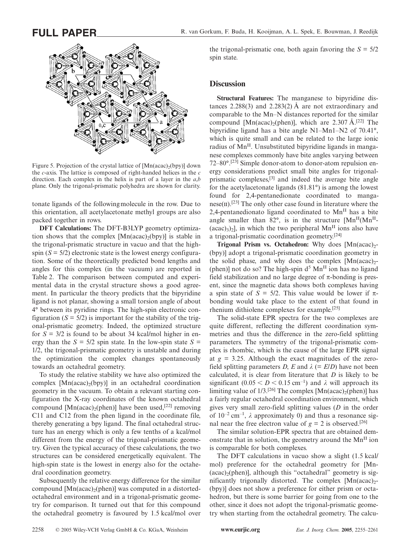

Figure 5. Projection of the crystal lattice of  $[Mn(acac)<sub>2</sub>(bpy)]$  down the *c*-axis. The lattice is composed of right-handed helices in the *c* direction. Each complex in the helix is part of a layer in the *a*,*b* plane. Only the trigonal-prismatic polyhedra are shown for clarity.

tonate ligands of the followingmolecule in the row. Due to this orientation, all acetylacetonate methyl groups are also packed together in rows.

**DFT Calculations:** The DFT-B3LYP geometry optimization shows that the complex  $[Mn(acac)_{2}(bpy)]$  is stable in the trigonal-prismatic structure in vacuo and that the highspin  $(S = 5/2)$  electronic state is the lowest energy configuration. Some of the theoretically predicted bond lengths and angles for this complex (in the vacuum) are reported in Table 2. The comparison between computed and experimental data in the crystal structure shows a good agreement. In particular the theory predicts that the bipyridine ligand is not planar, showing a small torsion angle of about 4° between its pyridine rings. The high-spin electronic configuration  $(S = 5/2)$  is important for the stability of the trigonal-prismatic geometry. Indeed, the optimized structure for *S* = 3/2 is found to be about 34 kcal/mol higher in energy than the  $S = 5/2$  spin state. In the low-spin state  $S =$ 1/2, the trigonal-prismatic geometry is unstable and during the optimization the complex changes spontaneously towards an octahedral geometry.

To study the relative stability we have also optimized the complex  $[{\rm Mn}(acac)_2(bpy)]$  in an octahedral coordination geometry in the vacuum. To obtain a relevant starting configuration the X-ray coordinates of the known octahedral compound [Mn(acac)<sub>2</sub>(phen)] have been used,<sup>[22]</sup> removing C11 and C12 from the phen ligand in the coordinate file, thereby generating a bpy ligand. The final octahedral structure has an energy which is only a few tenths of a kcal/mol different from the energy of the trigonal-prismatic geometry. Given the typical accuracy of these calculations, the two structures can be considered energetically equivalent. The high-spin state is the lowest in energy also for the octahedral coordination geometry.

Subsequently the relative energy difference for the similar compound  $[Mn(acac)<sub>2</sub>(phen)]$  was computed in a distortedoctahedral environment and in a trigonal-prismatic geometry for comparison. It turned out that for this compound the octahedral geometry is favoured by 1.5 kcal/mol over

the trigonal-prismatic one, both again favoring the  $S = \frac{5}{2}$ spin state.

#### **Discussion**

**Structural Features:** The manganese to bipyridine distances 2.288(3) and 2.283(2)  $\AA$  are not extraordinary and comparable to the Mn–N distances reported for the similar compound [Mn(acac)<sub>2</sub>(phen)], which are 2.307 Å.<sup>[22]</sup> The bipyridine ligand has a bite angle N1–Mn1–N2 of 70.41°, which is quite small and can be related to the large ionic radius of Mn<sup>II</sup>. Unsubstituted bipyridine ligands in manganese complexes commonly have bite angles varying between 72–80°.[23] Simple donor-atom to donor-atom repulsion energy considerations predict small bite angles for trigonalprismatic complexes,[3] and indeed the average bite angle for the acetylacetonate ligands (81.81°) is among the lowest found for 2,4-pentanedionate coordinated to manga $nese(II).$ <sup>[23]</sup> The only other case found in literature where the 2,4-pentanedionato ligand coordinated to  $Mn<sup>H</sup>$  has a bite angle smaller than  $82^\circ$ , is in the structure [Mn<sup>II</sup>(Mn<sup>II</sup>- $(\text{acac})_3$ )<sub>2</sub>], in which the two peripheral Mn<sup>II</sup> ions also have a trigonal-prismatic coordination geometry.[24]

**Trigonal Prism vs. Octahedron:** Why does [Mn(acac)<sub>2</sub>-(bpy)] adopt a trigonal-prismatic coordination geometry in the solid phase, and why does the complex  $[{\rm Mn}(acac)_2$ -(phen)] not do so? The high-spin  $d^5$  Mn<sup>II</sup> ion has no ligand field stabilization and no large degree of  $\pi$ -bonding is present, since the magnetic data shows both complexes having a spin state of  $S = 5/2$ . This value would be lower if  $\pi$ bonding would take place to the extent of that found in rhenium dithiolene complexes for example.[25]

The solid-state EPR spectra for the two complexes are quite different, reflecting the different coordination symmetries and thus the difference in the zero-field splitting parameters. The symmetry of the trigonal-prismatic complex is rhombic, which is the cause of the large EPR signal at  $g = 3.25$ . Although the exact magnitudes of the zerofield splitting parameters *D*, *E* and  $\lambda$  (= *E*/*D*) have not been calculated, it is clear from literature that *D* is likely to be significant  $(0.05 < D < 0.15$  cm<sup>-1</sup>) and  $\lambda$  will approach its limiting value of  $1/3$ .<sup>[26]</sup> The complex [Mn(acac)<sub>2</sub>(phen)] has a fairly regular octahedral coordination environment, which gives very small zero-field splitting values (*D* in the order of  $10^{-2}$  cm<sup>-1</sup>,  $\lambda$  approximately 0) and thus a resonance signal near the free electron value of  $g = 2$  is observed.<sup>[26]</sup>

The similar solution-EPR spectra that are obtained demonstrate that in solution, the geometry around the  $Mn<sup>H</sup>$  ion is comparable for both complexes.

The DFT calculations in vacuo show a slight (1.5 kcal/ mol) preference for the octahedral geometry for [Mn-  $(\text{acac})_2(\text{phen})$ ], although this "octahedral" geometry is significantly trigonally distorted. The complex  $[Mn(acac)<sub>2</sub>-$ (bpy)] does not show a preference for either prism or octahedron, but there is some barrier for going from one to the other, since it does not adopt the trigonal-prismatic geometry when starting from the octahedral geometry. The calcu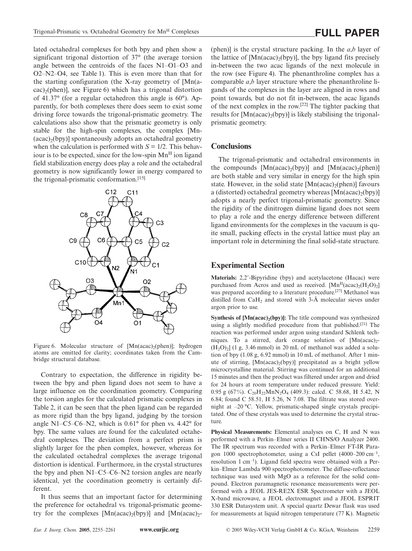lated octahedral complexes for both bpy and phen show a significant trigonal distortion of 37° (the average torsion angle between the centroids of the faces N1–O1–O3 and O2–N2–O4, see Table 1). This is even more than that for the starting configuration (the X-ray geometry of [Mn(a- $(cac)$ <sub>2</sub>(phen)], see Figure 6) which has a trigonal distortion of 41.37° (for a regular octahedron this angle is 60°). Apparently, for both complexes there does seem to exist some driving force towards the trigonal-prismatic geometry. The calculations also show that the prismatic geometry is only stable for the high-spin complexes, the complex [Mn-  $(acac)_{2}(bpy)$ ] spontaneously adopts an octahedral geometry when the calculation is performed with  $S = 1/2$ . This behaviour is to be expected, since for the low-spin  $Mn<sup>H</sup>$  ion ligand field stabilization energy does play a role and the octahedral geometry is now significantly lower in energy compared to the trigonal-prismatic conformation.<sup>[15]</sup>



Figure 6. Molecular structure of  $[{\rm Mn}(acac)_2(\text{phen})]$ ; hydrogen atoms are omitted for clarity; coordinates taken from the Cambridge structural database.

Contrary to expectation, the difference in rigidity between the bpy and phen ligand does not seem to have a large influence on the coordination geometry. Comparing the torsion angles for the calculated prismatic complexes in Table 2, it can be seen that the phen ligand can be regarded as more rigid than the bpy ligand, judging by the torsion angle N1–C5–C6–N2, which is  $0.61^{\circ}$  for phen vs. 4.42° for bpy. The same values are found for the calculated octahedral complexes. The deviation from a perfect prism is slightly larger for the phen complex, however, whereas for the calculated octahedral complexes the average trigonal distortion is identical. Furthermore, in the crystal structures the bpy and phen N1–C5–C6–N2 torsion angles are nearly identical, yet the coordination geometry is certainly different.

It thus seems that an important factor for determining the preference for octahedral vs. trigonal-prismatic geometry for the complexes  $[Mn(acac)_2(bpy)]$  and  $[Mn(acac)_2$ - (phen)] is the crystal structure packing. In the *a*,*b* layer of the lattice of  $[Mn(acac)<sub>2</sub>(bpy)]$ , the bpy ligand fits precisely in-between the two acac ligands of the next molecule in the row (see Figure 4). The phenanthroline complex has a comparable *a*,*b* layer structure where the phenanthroline ligands of the complexes in the layer are aligned in rows and point towards, but do not fit in-between, the acac ligands of the next complex in the row.[22] The tighter packing that results for  $[Mn(acac)_{2}(bpy)]$  is likely stabilising the trigonalprismatic geometry.

#### **Conclusions**

The trigonal-prismatic and octahedral environments in the compounds  $[Mn(acac)<sub>2</sub>(bpy)]$  and  $[Mn(acac)<sub>2</sub>(phen)]$ are both stable and very similar in energy for the high spin state. However, in the solid state  $[Mn(acac)_{2}(phen)]$  favours a (distorted) octahedral geometry whereas  $[Mn(acac)_{2}(bpy)]$ adopts a nearly perfect trigonal-prismatic geometry. Since the rigidity of the dinitrogen diimine ligand does not seem to play a role and the energy difference between different ligand environments for the complexes in the vacuum is quite small, packing effects in the crystal lattice must play an important role in determining the final solid-state structure.

### **Experimental Section**

**Materials:** 2,2-Bipyridine (bpy) and acetylacetone (Hacac) were purchased from Acros and used as received.  $[Mn^{II}(acac)_{2}(H_{2}O)_{2}]$ was prepared according to a literature procedure.[27] Methanol was distilled from  $CaH<sub>2</sub>$  and stored with 3-Å molecular sieves under argon prior to use.

**Synthesis of [Mn(acac)<sub>2</sub>(bpy)]:** The title compound was synthesized using a slightly modified procedure from that published.[21] The reaction was performed under argon using standard Schlenk techniques. To a stirred, dark orange solution of  $[Mn(acac)_{2}$ - $(H<sub>2</sub>O)<sub>2</sub>$ ] (1 g, 3.46 mmol) in 20 mL of methanol was added a solution of bpy (1.08 g, 6.92 mmol) in 10 mL of methanol. After 1 minute of stirring, [Mn(acac)<sub>2</sub>(bpy)] precipitated as a bright yellow microcrystalline material. Stirring was continued for an additional 15 minutes and then the product was filtered under argon and dried for 24 hours at room temperature under reduced pressure. Yield: 0.95 g (67%).  $C_{20}H_{22}MnN_2O_4$  (409.3): calcd. C 58.68, H 5.42, N 6.84; found C 58.51, H 5.26, N 7.08. The filtrate was stored overnight at –20 °C. Yellow, prismatic-shaped single crystals precipitated. One of these crystals was used to determine the crystal structure.

**Physical Measurements:** Elemental analyses on C, H and N was performed with a Perkin–Elmer series II CHNS/O Analyzer 2400. The IR spectrum was recorded with a Perkin–Elmer FT-IR Paragon 1000 spectrophotometer, using a CsI pellet  $(4000-200 \text{ cm}^{-1})$ , resolution 1 cm–1). Ligand field spectra were obtained with a Perkin–Elmer Lambda 900 spectrophotometer. The diffuse-reflectance technique was used with MgO as a reference for the solid compound. Electron paramagnetic resonance measurements were performed with a JEOL JES-RE2X ESR Spectrometer with a JEOL X-band microwave, a JEOL electromagnet and a JEOL ESPRIT 330 ESR Datasystem unit. A special quartz Dewar flask was used for measurements at liquid nitrogen temperature (77 K). Magnetic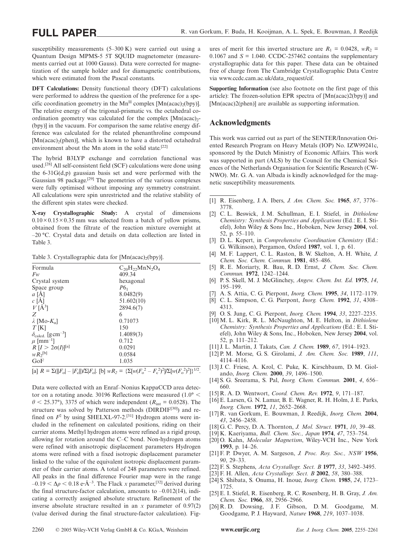susceptibility measurements (5–300 K) were carried out using a Quantum Design MPMS-5 5T SQUID magnetometer (measurements carried out at 1000 Gauss). Data were corrected for magnetization of the sample holder and for diamagnetic contributions, which were estimated from the Pascal constants.

**DFT Calculations:** Density functional theory (DFT) calculations were performed to address the question of the preference for a specific coordination geometry in the Mn<sup>II</sup> complex [Mn(acac)<sub>2</sub>(bpy)]. The relative energy of the trigonal-prismatic vs. the octahedral coordination geometry was calculated for the complex  $[Mn(acac)<sub>2</sub> -$ (bpy)] in the vacuum. For comparison the same relative energy difference was calculated for the related phenanthroline compound  $[Mn(acac)<sub>2</sub>(phen)]$ , which is known to have a distorted octahedral environment about the Mn atom in the solid state.<sup>[22]</sup>

The hybrid B3LYP exchange and correlation functional was used.[28] All self-consistent field (SCF) calculations were done using the 6-31G(d,p) gaussian basis set and were performed with the Gaussian 98 package.[29] The geometries of the various complexes were fully optimised without imposing any symmetry constraint. All calculations were spin unrestricted and the relative stability of the different spin states were checked.

**X-ray Crystallographic Study:** A crystal of dimensions  $0.10 \times 0.15 \times 0.35$  mm was selected from a batch of vellow prisms, obtained from the filtrate of the reaction mixture overnight at –20 °C. Crystal data and details on data collection are listed in Table 3.

Table 3. Crystallographic data for  $[Mn(acac)_{2}(bpy)]$ .

| 409.34<br>$F_W$<br>Crystal system<br>hexagonal<br>$P6_1$<br>Space group<br>$a[\AA]$<br>8.0482(9)<br>c[A]<br>51.602(10)<br>$V[\AA^3]$<br>2894.6(7)<br>Z<br>6<br>0.71073<br>$\lambda$ [Mo- $K_{\alpha}$ ]<br>150<br>$T$ [K]<br>$\delta_{\text{caled.}}$ [g cm <sup>-3</sup> ]<br>1.4089(3)<br>0.712<br>$\mu$ [mm <sup>-1</sup> ]<br>$R[I > 2\sigma(I)]^{[a]}$<br>0.0291 | $C_{20}H_{22}MnN_2O_4$ |
|-----------------------------------------------------------------------------------------------------------------------------------------------------------------------------------------------------------------------------------------------------------------------------------------------------------------------------------------------------------------------|------------------------|
|                                                                                                                                                                                                                                                                                                                                                                       |                        |
|                                                                                                                                                                                                                                                                                                                                                                       |                        |
|                                                                                                                                                                                                                                                                                                                                                                       |                        |
|                                                                                                                                                                                                                                                                                                                                                                       |                        |
|                                                                                                                                                                                                                                                                                                                                                                       |                        |
|                                                                                                                                                                                                                                                                                                                                                                       |                        |
|                                                                                                                                                                                                                                                                                                                                                                       |                        |
|                                                                                                                                                                                                                                                                                                                                                                       |                        |
|                                                                                                                                                                                                                                                                                                                                                                       |                        |
|                                                                                                                                                                                                                                                                                                                                                                       |                        |
|                                                                                                                                                                                                                                                                                                                                                                       |                        |
|                                                                                                                                                                                                                                                                                                                                                                       |                        |
| $W R_2^{[b]}$<br>0.0584                                                                                                                                                                                                                                                                                                                                               |                        |
| GoF<br>1.035                                                                                                                                                                                                                                                                                                                                                          |                        |

 $[a]$  *R* =  $\Sigma(||F_o| - |F_c||)/\Sigma|F_o|$ . [b]  $wR_2 = {\Sigma[w(F_o^2 - F_c^2)^2]/\Sigma[w(F_o^2)^2]}$ <sup>1/2</sup>.

Data were collected with an Enraf–Nonius KappaCCD area detector on a rotating anode. 30196 Reflections were measured  $(1.0\degree<$  $\theta$  < 25.37°), 3375 of which were independent ( $R_{int}$  = 0.0528). The structure was solved by Patterson methods (DIRDIF<sup>[30]</sup>) and refined on  $F^2$  by using SHELXL-97-2.<sup>[31]</sup> Hydrogen atoms were included in the refinement on calculated positions, riding on their carrier atoms. Methyl hydrogen atoms were refined as a rigid group, allowing for rotation around the C–C bond. Non-hydrogen atoms were refined with anisotropic displacement parameters Hydrogen atoms were refined with a fixed isotropic displacement parameter linked to the value of the equivalent isotropic displacement parameter of their carrier atoms. A total of 248 parameters were refined. All peaks in the final difference Fourier map were in the range  $-0.19 < \Delta \rho < 0.18$  e·Å<sup>-3</sup>. The Flack *x* parameter,<sup>[32]</sup> derived during the final structure-factor calculation, amounts to  $-0.012(14)$ , indicating a correctly assigned absolute structure. Refinement of the inverse absolute structure resulted in an *x* parameter of 0.97(2) (value derived during the final structure-factor calculation). Fig-

ures of merit for this inverted structure are  $R_1 = 0.0428$ ,  $wR_2 =$ 0.1067 and  $S = 1.040$ . CCDC-257462 contains the supplementary crystallographic data for this paper. These data can be obtained free of charge from The Cambridge Crystallographic Data Centre via www.ccdc.cam.ac.uk/data\_request/cif.

**Supporting Information** (see also footnote on the first page of this article): The frozen-solution EPR spectra of [Mn(acac)2(bpy)] and [Mn(acac)2(phen)] are available as supporting information.

#### **Acknowledgments**

This work was carried out as part of the SENTER/Innovation Oriented Research Program on Heavy Metals (IOP) No. IZW99241c, sponsored by the Dutch Ministry of Economic Affairs. This work was supported in part (ALS) by the Council for the Chemical Sciences of the Netherlands Organisation for Scientific Research (CW-NWO). Mr. G. A. van Albada is kindly acknowledged for the magnetic susceptibility measurements.

- [1] R. Eisenberg, J. A. Ibers, *J. Am. Chem. Soc.* **1965**, *87*, 3776– 3778.
- [2] C. L. Beswick, J. M. Schullman, E. I. Stiefel, in *Dithiolene Chemistry: Synthesis Properties and Applications* (Ed.: E. I. Stiefel), John Wiley & Sons Inc., Hoboken, New Jersey **2004**, vol. 52, p. 55–110.
- [3] D. L. Kepert, in *Comprehensive Coordination Chemistry* (Ed.: G. Wilkinson), Pergamon, Oxford **1987**, vol. 1, p. 61.
- [4] M. F. Lappert, C. L. Raston, B. W. Skelton, A. H. White, *J. Chem. Soc. Chem. Commun.* **1981**, 485–486.
- [5] R. E. Moriarty, R. Bau, R. D. Ernst, *J. Chem. Soc. Chem. Commun.* **1972**, 1242–1244.
- [6] P. S. Skell, M. J. McGlinchey, *Angew. Chem. Int. Ed.* **1975**, *14*, 195–199.
- [7] A. S. Attia, C. G. Pierpont, *Inorg. Chem.* **1995**, *34*, 1172–1179.
- [8] C. L. Simpson, C. G. Pierpont, *Inorg. Chem.* **1992**, *31*, 4308– 4313.
- [9] O. S. Jung, C. G. Pierpont, *Inorg. Chem.* **1994**, *33*, 2227–2235.
- [10] M. L. Kirk, R. L. McNaughton, M. E. Helton, in *Dithiolene Chemistry: Synthesis Properties and Applications* (Ed.: E. I. Stiefel), John Wiley & Sons, Inc., Hoboken, New Jersey **2004**, vol. 52, p. 111–212.
- [11] J. L. Martin, J. Takats, *Can. J. Chem.* **1989**, *67*, 1914–1923.
- [12] P. M. Morse, G. S. Girolami, *J. Am. Chem. Soc.* **1989**, *111*, 4114–4116.
- [13] J. C. Friese, A. Krol, C. Puke, K. Kirschbaum, D. M. Giolando, *Inorg. Chem.* **2000**, *39*, 1496–1500.
- [14] S. G. Sreerama, S. Pal, *Inorg. Chem. Commun.* **2001**, *4*, 656– 660.
- [15] R. A. D. Wentwort, *Coord. Chem. Rev.* **1972**, *9*, 171–187.
- [16] E. Larsen, G. N. Lamar, B. E. Wagner, R. H. Holm, J. E. Parks, *Inorg. Chem.* **1972**, *11*, 2652–2668.
- [17] R. van Gorkum, E. Bouwman, J. Reedijk, *Inorg. Chem.* **2004**, *43*, 2456–2458.
- [18] G. C. Percy, D. A. Thornton, *J. Mol. Struct.* **1971**, *10*, 39–48.
- [19] K. Kaeriyama, *Bull. Chem. Soc., Japan* **1974**, *47*, 753–754.
- [20] O. Kahn, *Molecular Magnetism*, Wiley-VCH Inc., New York **1993**, p. 14–26.
- [21] F. P. Dwyer, A. M. Sargeson, *J. Proc. Roy. Soc., NSW* **1956**, *90*, 29–33.
- [22] F. S. Stephens, *Acta Crystallogr. Sect. B* **1977**, *33*, 3492–3495.
- [23] F. H. Allen, *Acta Crystallogr. Sect. B* **2002**, *58*, 380–388.
- [24] S. Shibata, S. Onuma, H. Inoue, *Inorg. Chem.* **1985**, *24*, 1723– 1725.
- [25] E. I. Stiefel, R. Eisenberg, R. C. Rosenberg, H. B. Gray, *J. Am. Chem. Soc.* **1966**, *88*, 2956–2966.
- [26] R. D. Dowsing, J. F. Gibson, D. M. Goodgame, M. Goodgame, P. J. Hayward, *Nature* **1968**, *219*, 1037–1038.